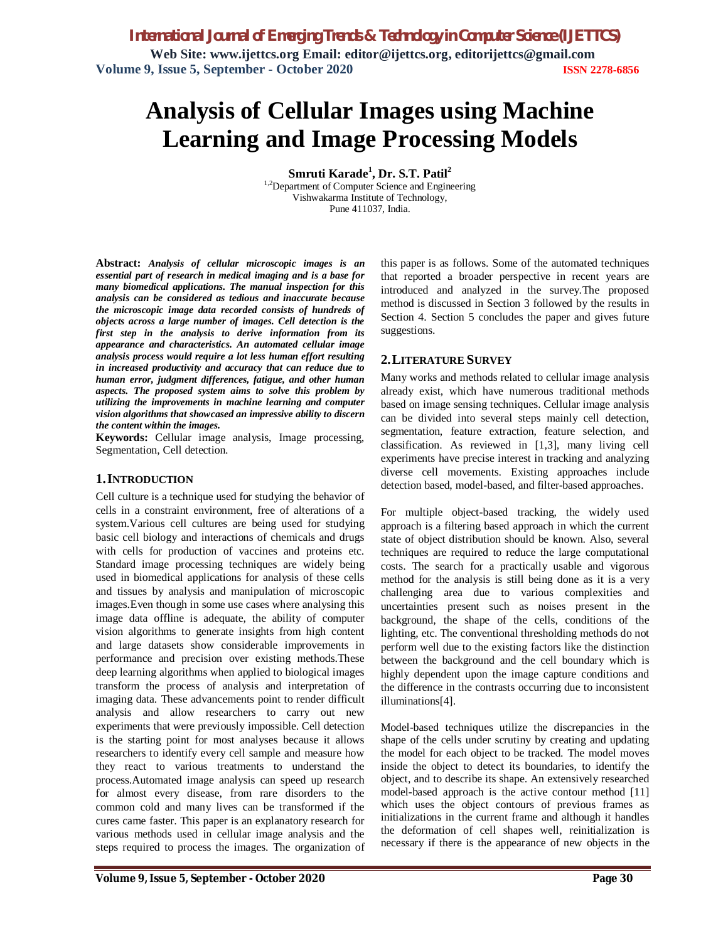# **Analysis of Cellular Images using Machine Learning and Image Processing Models**

**Smruti Karade<sup>1</sup> , Dr. S.T. Patil<sup>2</sup>**

<sup>1,2</sup>Department of Computer Science and Engineering Vishwakarma Institute of Technology, Pune 411037, India.

**Abstract:** *Analysis of cellular microscopic images is an essential part of research in medical imaging and is a base for many biomedical applications. The manual inspection for this analysis can be considered as tedious and inaccurate because the microscopic image data recorded consists of hundreds of objects across a large number of images. Cell detection is the first step in the analysis to derive information from its appearance and characteristics. An automated cellular image analysis process would require a lot less human effort resulting in increased productivity and accuracy that can reduce due to human error, judgment differences, fatigue, and other human aspects. The proposed system aims to solve this problem by utilizing the improvements in machine learning and computer vision algorithms that showcased an impressive ability to discern the content within the images.* 

**Keywords:** Cellular image analysis, Image processing, Segmentation, Cell detection.

#### **1.INTRODUCTION**

Cell culture is a technique used for studying the behavior of cells in a constraint environment, free of alterations of a system.Various cell cultures are being used for studying basic cell biology and interactions of chemicals and drugs with cells for production of vaccines and proteins etc. Standard image processing techniques are widely being used in biomedical applications for analysis of these cells and tissues by analysis and manipulation of microscopic images.Even though in some use cases where analysing this image data offline is adequate, the ability of computer vision algorithms to generate insights from high content and large datasets show considerable improvements in performance and precision over existing methods.These deep learning algorithms when applied to biological images transform the process of analysis and interpretation of imaging data. These advancements point to render difficult analysis and allow researchers to carry out new experiments that were previously impossible. Cell detection is the starting point for most analyses because it allows researchers to identify every cell sample and measure how they react to various treatments to understand the process.Automated image analysis can speed up research for almost every disease, from rare disorders to the common cold and many lives can be transformed if the cures came faster. This paper is an explanatory research for various methods used in cellular image analysis and the steps required to process the images. The organization of this paper is as follows. Some of the automated techniques that reported a broader perspective in recent years are introduced and analyzed in the survey.The proposed method is discussed in Section 3 followed by the results in Section 4. Section 5 concludes the paper and gives future suggestions.

## **2.LITERATURE SURVEY**

Many works and methods related to cellular image analysis already exist, which have numerous traditional methods based on image sensing techniques. Cellular image analysis can be divided into several steps mainly cell detection, segmentation, feature extraction, feature selection, and classification. As reviewed in [1,3], many living cell experiments have precise interest in tracking and analyzing diverse cell movements. Existing approaches include detection based, model-based, and filter-based approaches.

For multiple object-based tracking, the widely used approach is a filtering based approach in which the current state of object distribution should be known. Also, several techniques are required to reduce the large computational costs. The search for a practically usable and vigorous method for the analysis is still being done as it is a very challenging area due to various complexities and uncertainties present such as noises present in the background, the shape of the cells, conditions of the lighting, etc. The conventional thresholding methods do not perform well due to the existing factors like the distinction between the background and the cell boundary which is highly dependent upon the image capture conditions and the difference in the contrasts occurring due to inconsistent illuminations[4].

Model-based techniques utilize the discrepancies in the shape of the cells under scrutiny by creating and updating the model for each object to be tracked. The model moves inside the object to detect its boundaries, to identify the object, and to describe its shape. An extensively researched model-based approach is the active contour method [11] which uses the object contours of previous frames as initializations in the current frame and although it handles the deformation of cell shapes well, reinitialization is necessary if there is the appearance of new objects in the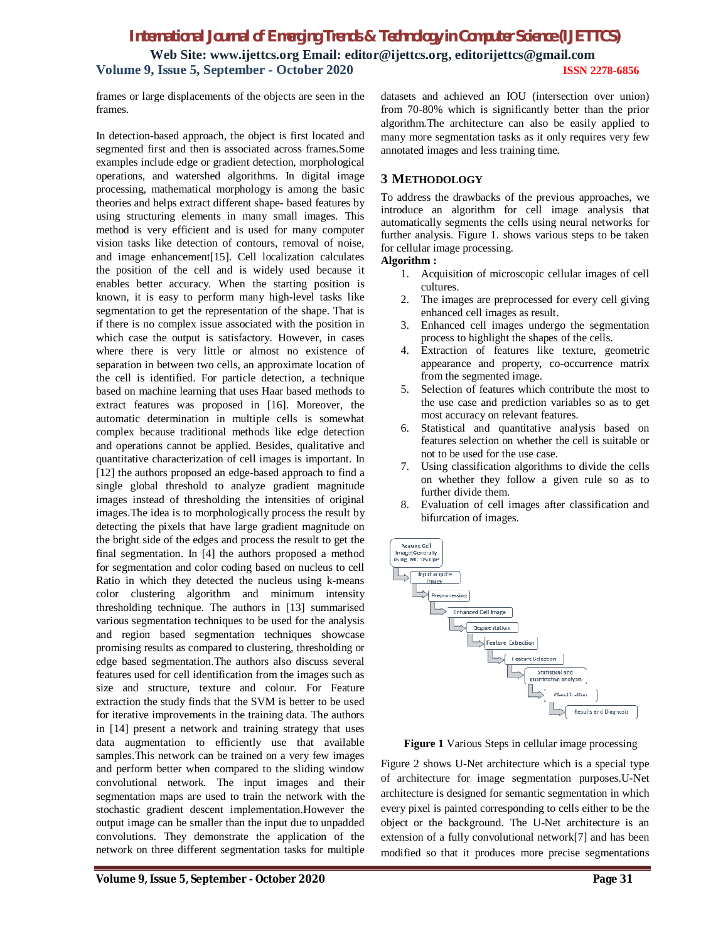frames or large displacements of the objects are seen in the frames.

In detection-based approach, the object is first located and segmented first and then is associated across frames.Some examples include edge or gradient detection, morphological operations, and watershed algorithms. In digital image processing, mathematical morphology is among the basic theories and helps extract different shape- based features by using structuring elements in many small images. This method is very efficient and is used for many computer vision tasks like detection of contours, removal of noise, and image enhancement[15]. Cell localization calculates the position of the cell and is widely used because it enables better accuracy. When the starting position is known, it is easy to perform many high-level tasks like segmentation to get the representation of the shape. That is if there is no complex issue associated with the position in which case the output is satisfactory. However, in cases where there is very little or almost no existence of separation in between two cells, an approximate location of the cell is identified. For particle detection, a technique based on machine learning that uses Haar based methods to extract features was proposed in [16]. Moreover, the automatic determination in multiple cells is somewhat complex because traditional methods like edge detection and operations cannot be applied. Besides, qualitative and quantitative characterization of cell images is important. In [12] the authors proposed an edge-based approach to find a single global threshold to analyze gradient magnitude images instead of thresholding the intensities of original images.The idea is to morphologically process the result by detecting the pixels that have large gradient magnitude on the bright side of the edges and process the result to get the final segmentation. In [4] the authors proposed a method for segmentation and color coding based on nucleus to cell Ratio in which they detected the nucleus using k-means color clustering algorithm and minimum intensity thresholding technique. The authors in [13] summarised various segmentation techniques to be used for the analysis and region based segmentation techniques showcase promising results as compared to clustering, thresholding or edge based segmentation.The authors also discuss several features used for cell identification from the images such as size and structure, texture and colour. For Feature extraction the study finds that the SVM is better to be used for iterative improvements in the training data. The authors in [14] present a network and training strategy that uses data augmentation to efficiently use that available samples.This network can be trained on a very few images and perform better when compared to the sliding window convolutional network. The input images and their segmentation maps are used to train the network with the stochastic gradient descent implementation.However the output image can be smaller than the input due to unpadded convolutions. They demonstrate the application of the network on three different segmentation tasks for multiple

datasets and achieved an IOU (intersection over union) from 70-80% which is significantly better than the prior algorithm.The architecture can also be easily applied to many more segmentation tasks as it only requires very few annotated images and less training time.

#### **3 METHODOLOGY**

To address the drawbacks of the previous approaches, we introduce an algorithm for cell image analysis that automatically segments the cells using neural networks for further analysis. Figure 1. shows various steps to be taken for cellular image processing.

#### **Algorithm :**

- 1. Acquisition of microscopic cellular images of cell cultures.
- 2. The images are preprocessed for every cell giving enhanced cell images as result.
- 3. Enhanced cell images undergo the segmentation process to highlight the shapes of the cells.
- 4. Extraction of features like texture, geometric appearance and property, co-occurrence matrix from the segmented image.
- 5. Selection of features which contribute the most to the use case and prediction variables so as to get most accuracy on relevant features.
- 6. Statistical and quantitative analysis based on features selection on whether the cell is suitable or not to be used for the use case.
- 7. Using classification algorithms to divide the cells on whether they follow a given rule so as to further divide them.
- 8. Evaluation of cell images after classification and bifurcation of images.



 **Figure 1** Various Steps in cellular image processing

Figure 2 shows U-Net architecture which is a special type of architecture for image segmentation purposes.U-Net architecture is designed for semantic segmentation in which every pixel is painted corresponding to cells either to be the object or the background. The U-Net architecture is an extension of a fully convolutional network[7] and has been modified so that it produces more precise segmentations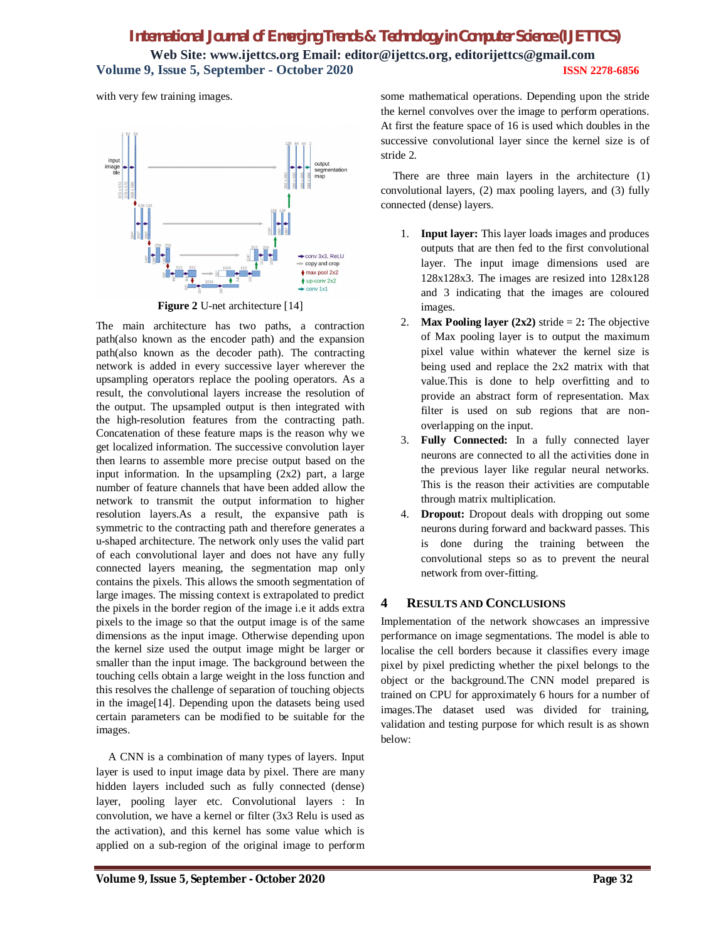with very few training images.



**Figure 2** U-net architecture [14]

The main architecture has two paths, a contraction path(also known as the encoder path) and the expansion path(also known as the decoder path). The contracting network is added in every successive layer wherever the upsampling operators replace the pooling operators. As a result, the convolutional layers increase the resolution of the output. The upsampled output is then integrated with the high-resolution features from the contracting path. Concatenation of these feature maps is the reason why we get localized information. The successive convolution layer then learns to assemble more precise output based on the input information. In the upsampling  $(2x2)$  part, a large number of feature channels that have been added allow the network to transmit the output information to higher resolution layers.As a result, the expansive path is symmetric to the contracting path and therefore generates a u-shaped architecture. The network only uses the valid part of each convolutional layer and does not have any fully connected layers meaning, the segmentation map only contains the pixels. This allows the smooth segmentation of large images. The missing context is extrapolated to predict the pixels in the border region of the image i.e it adds extra pixels to the image so that the output image is of the same dimensions as the input image. Otherwise depending upon the kernel size used the output image might be larger or smaller than the input image. The background between the touching cells obtain a large weight in the loss function and this resolves the challenge of separation of touching objects in the image[14]. Depending upon the datasets being used certain parameters can be modified to be suitable for the images.

A CNN is a combination of many types of layers. Input layer is used to input image data by pixel. There are many hidden layers included such as fully connected (dense) layer, pooling layer etc. Convolutional layers : In convolution, we have a kernel or filter (3x3 Relu is used as the activation), and this kernel has some value which is applied on a sub-region of the original image to perform some mathematical operations. Depending upon the stride the kernel convolves over the image to perform operations. At first the feature space of 16 is used which doubles in the successive convolutional layer since the kernel size is of stride 2.

There are three main layers in the architecture (1) convolutional layers, (2) max pooling layers, and (3) fully connected (dense) layers.

- 1. **Input layer:** This layer loads images and produces outputs that are then fed to the first convolutional layer. The input image dimensions used are 128x128x3. The images are resized into 128x128 and 3 indicating that the images are coloured images.
- 2. **Max Pooling layer (2x2)** stride  $= 2$ **:** The objective of Max pooling layer is to output the maximum pixel value within whatever the kernel size is being used and replace the 2x2 matrix with that value.This is done to help overfitting and to provide an abstract form of representation. Max filter is used on sub regions that are nonoverlapping on the input.
- 3. **Fully Connected:** In a fully connected layer neurons are connected to all the activities done in the previous layer like regular neural networks. This is the reason their activities are computable through matrix multiplication.
- 4. **Dropout:** Dropout deals with dropping out some neurons during forward and backward passes. This is done during the training between the convolutional steps so as to prevent the neural network from over-fitting.

## **4 RESULTS AND CONCLUSIONS**

Implementation of the network showcases an impressive performance on image segmentations. The model is able to localise the cell borders because it classifies every image pixel by pixel predicting whether the pixel belongs to the object or the background.The CNN model prepared is trained on CPU for approximately 6 hours for a number of images.The dataset used was divided for training, validation and testing purpose for which result is as shown below: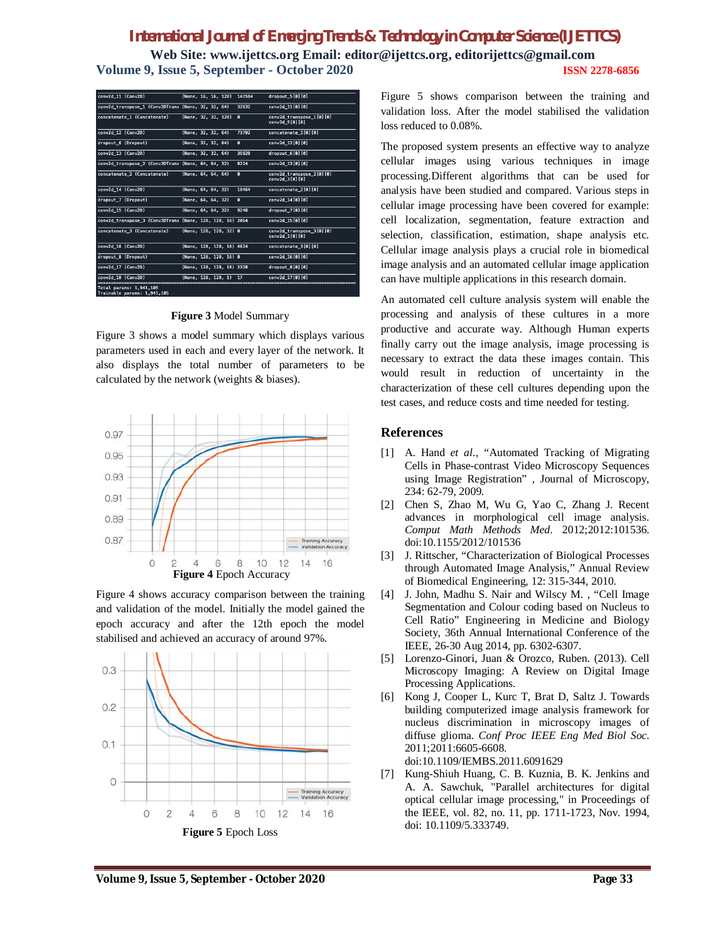| conv2d 11 (Conv2D)                                        | (None, 16, 16, 128)       | 147584         | dropout 5[0][0]                             |
|-----------------------------------------------------------|---------------------------|----------------|---------------------------------------------|
| conv2d transpose 1 (Conv2DTrans (None, 32, 32, 64)        |                           | 32832          | conv2d 11[0][0]                             |
| concatenate 1 (Concatenate)                               | (None, 32, 32, 128)       | $\mathbf{a}$   | conv2d transpose 1[0][0]<br>conv2d 5[0] [0] |
| conv2d 12 (Conv2D)                                        | (None, 32, 32, 64)        | 73792          | concatenate 1[0][0]                         |
| dropout 6 (Dropout)                                       | (None, 32, 32, 64)        | $\overline{6}$ | conv2d 12[0][0]                             |
| conv2d 13 (Conv2D)                                        | (None, 32, 32, 64)        | 36928          | dropout 6[0][0]                             |
| conv2d_transpose_2 (Conv2DTrans (None, 64, 64, 32)        |                           | 8224           | conv2d 13[0][0]                             |
| concatenate 2 (Concatenate)                               | (None, 64, 64, 64)        | $\overline{6}$ | conv2d transpose 2[0][0]<br>conv2d 3[0] [0] |
| conv2d 14 (Conv2D)                                        | (None, 64, 64, 32)        | 18464          | concatenate 2[0][0]                         |
| dropout 7 (Dropout)                                       | (None, 64, 64, 32)        | $\overline{6}$ | conv2d 14[0][0]                             |
| conv2d 15 (Conv2D)                                        | (None, 64, 64, 32)        | 9248           | dropout 7[0][0]                             |
| conv2d_transpose_3 (Conv2DTrans (None, 128, 128, 16) 2064 |                           |                | conv2d 15 [0] [0]                           |
| concatenate 3 (Concatenate)                               | (None, 128, 128, 32) 0    |                | conv2d transpose 3[0][0]<br>conv2d 1[0] [0] |
| conv2d_16 (Conv2D)                                        | (None, 128, 128, 16) 4624 |                | concatenate 3[0][0]                         |
| dropout 8 (Dropout)                                       | (None, 128, 128, 16) 0    |                | conv2d 16[0][0]                             |
| conv2d 17 (Conv2D)                                        | (None, 128, 128, 16) 2320 |                | dropout $8[0][0]$                           |
| conv2d 18 (Conv2D)                                        | (None. 128. 128. 1) 17    |                | conv2d_17[0][0]                             |

**Figure 3** Model Summary

Figure 3 shows a model summary which displays various parameters used in each and every layer of the network. It also displays the total number of parameters to be calculated by the network (weights & biases).



Figure 4 shows accuracy comparison between the training and validation of the model. Initially the model gained the epoch accuracy and after the 12th epoch the model stabilised and achieved an accuracy of around 97%.



Figure 5 shows comparison between the training and validation loss. After the model stabilised the validation loss reduced to 0.08%.

The proposed system presents an effective way to analyze cellular images using various techniques in image processing.Different algorithms that can be used for analysis have been studied and compared. Various steps in cellular image processing have been covered for example: cell localization, segmentation, feature extraction and selection, classification, estimation, shape analysis etc. Cellular image analysis plays a crucial role in biomedical image analysis and an automated cellular image application can have multiple applications in this research domain.

An automated cell culture analysis system will enable the processing and analysis of these cultures in a more productive and accurate way. Although Human experts finally carry out the image analysis, image processing is necessary to extract the data these images contain. This would result in reduction of uncertainty in the characterization of these cell cultures depending upon the test cases, and reduce costs and time needed for testing.

## **References**

- [1] A. Hand *et al*., "Automated Tracking of Migrating Cells in Phase-contrast Video Microscopy Sequences using Image Registration" , Journal of Microscopy, 234: 62-79, 2009.
- [2] Chen S, Zhao M, Wu G, Yao C, Zhang J. Recent advances in morphological cell image analysis. *Comput Math Methods Med*. 2012;2012:101536. doi:10.1155/2012/101536
- [3] J. Rittscher, "Characterization of Biological Processes through Automated Image Analysis," Annual Review of Biomedical Engineering, 12: 315-344, 2010.
- [4] J. John, Madhu S. Nair and Wilscy M. , "Cell Image Segmentation and Colour coding based on Nucleus to Cell Ratio" Engineering in Medicine and Biology Society, 36th Annual International Conference of the IEEE, 26-30 Aug 2014, pp. 6302-6307.
- [5] Lorenzo-Ginori, Juan & Orozco, Ruben. (2013). Cell Microscopy Imaging: A Review on Digital Image Processing Applications.
- [6] Kong J, Cooper L, Kurc T, Brat D, Saltz J. Towards building computerized image analysis framework for nucleus discrimination in microscopy images of diffuse glioma. *Conf Proc IEEE Eng Med Biol Soc*. 2011;2011:6605-6608. doi:10.1109/IEMBS.2011.6091629
- [7] Kung-Shiuh Huang, C. B. Kuznia, B. K. Jenkins and A. A. Sawchuk, "Parallel architectures for digital optical cellular image processing," in Proceedings of the IEEE, vol. 82, no. 11, pp. 1711-1723, Nov. 1994, doi: 10.1109/5.333749.